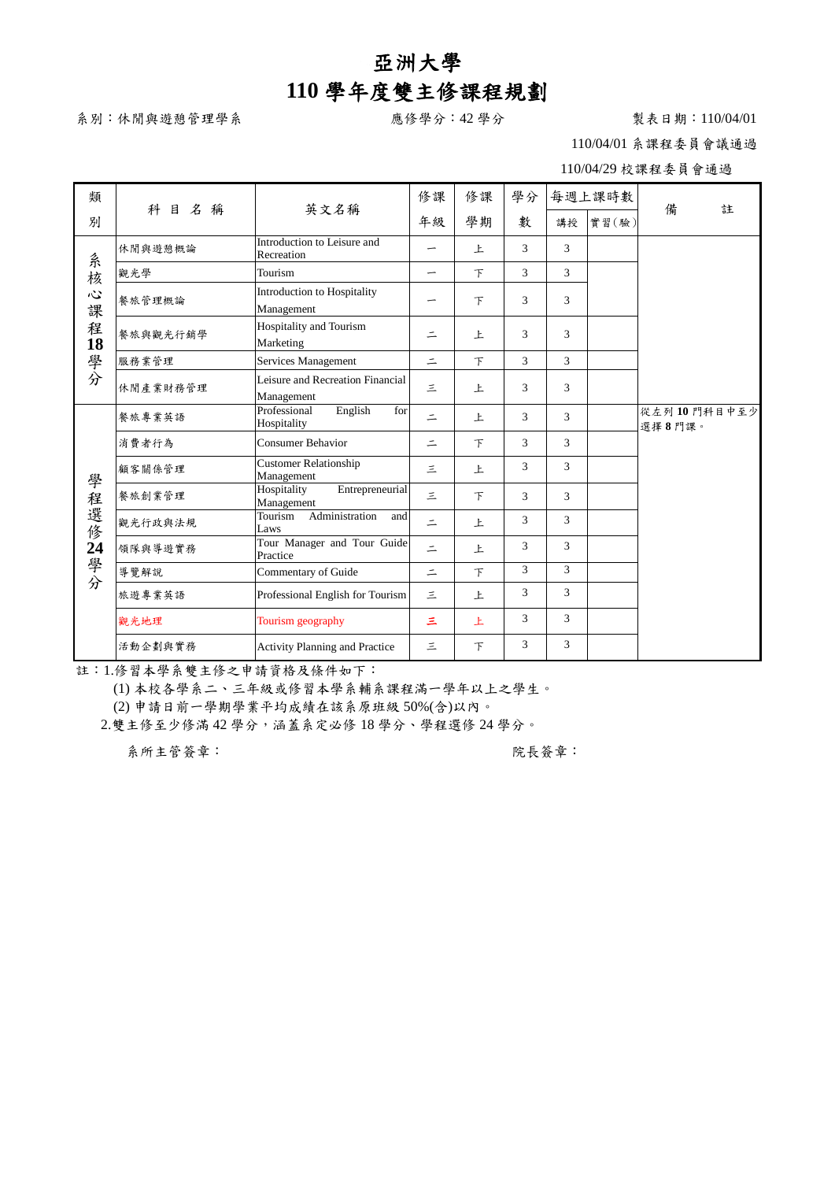## 亞洲大學 **110** 學年度雙主修課程規劃

系別:休閒與遊憩管理學系 わけの アンチュー 感修學分:42學分 アンチョウ おおとり 製表日期:110/04/01

110/04/01 系課程委員會議通過

110/04/29 校課程委員會通過

| 類                                   |          | 英文名稱                                           | 修課       | 修課     | 學分            |                | 每週上課時數 |                       |  |
|-------------------------------------|----------|------------------------------------------------|----------|--------|---------------|----------------|--------|-----------------------|--|
| 別                                   | 科目名<br>稱 |                                                | 年級       | 學期     | 數             | 講授             | 實習(驗)  | 備<br>註                |  |
| 系核<br>$\ddot{\omega}$<br>課<br>程18學分 | 休閒與遊憩概論  | Introduction to Leisure and<br>Recreation      | -        | 上      | 3             | 3              |        |                       |  |
|                                     | 觀光學      | Tourism                                        | —        | $\top$ | 3             | $\mathcal{R}$  |        |                       |  |
|                                     | 餐旅管理概論   | Introduction to Hospitality<br>Management      |          | $\top$ | 3             | 3              |        |                       |  |
|                                     | 餐旅與觀光行銷學 | Hospitality and Tourism<br>Marketing           | $\equiv$ | 上      | 3             | 3              |        |                       |  |
|                                     | 服務業管理    | Services Management                            | $\equiv$ | $\top$ | 3             | 3              |        |                       |  |
|                                     | 休閒產業財務管理 | Leisure and Recreation Financial<br>Management | 三        | 上      | 3             | $\mathbf{3}$   |        |                       |  |
|                                     | 餐旅專業英語   | Professional<br>English<br>for<br>Hospitality  | $\equiv$ | 上      | 3             | 3              |        | 從左列10門科目中至少<br>選擇8門課。 |  |
|                                     | 消費者行為    | <b>Consumer Behavior</b>                       | $\equiv$ | F      | 3             | 3              |        |                       |  |
|                                     | 顧客關係管理   | Customer Relationship<br>Management            | 三        | 上      | 3             | 3              |        |                       |  |
|                                     | 餐旅創業管理   | Entrepreneurial<br>Hospitality<br>Management   | 三        | $\top$ | 3             | $\mathbf{3}$   |        |                       |  |
| 學程選修24                              | 觀光行政與法規  | Administration<br>Tourism<br>and<br>Laws       | $\equiv$ | 上      | 3             | 3              |        |                       |  |
| 學分                                  | 領隊與導遊實務  | Tour Manager and Tour Guide<br>Practice        | $\equiv$ | 上      | 3             | 3              |        |                       |  |
|                                     | 導覽解說     | Commentary of Guide                            | $\equiv$ | $\top$ | $\mathcal{E}$ | $\mathcal{F}$  |        |                       |  |
|                                     | 旅遊專業英語   | Professional English for Tourism               | 三        | 上      | 3             | 3              |        |                       |  |
|                                     | 觀光地理     | Tourism geography                              | Ξ        | 上      | 3             | $\mathcal{R}$  |        |                       |  |
|                                     | 活動企劃與實務  | Activity Planning and Practice                 | 三        | F      | 3             | $\overline{3}$ |        |                       |  |

註:1.修習本學系雙主修之申請資格及條件如下:

(1) 本校各學系二、三年級或修習本學系輔系課程滿一學年以上之學生。

(2) 申請日前一學期學業平均成績在該系原班級 50%(含)以內。

2.雙主修至少修滿 42 學分,涵蓋系定必修 18 學分、學程選修 24 學分。

系所主管簽章: 第二十一章 第一十一章 第一十一章 第一次長簽章: